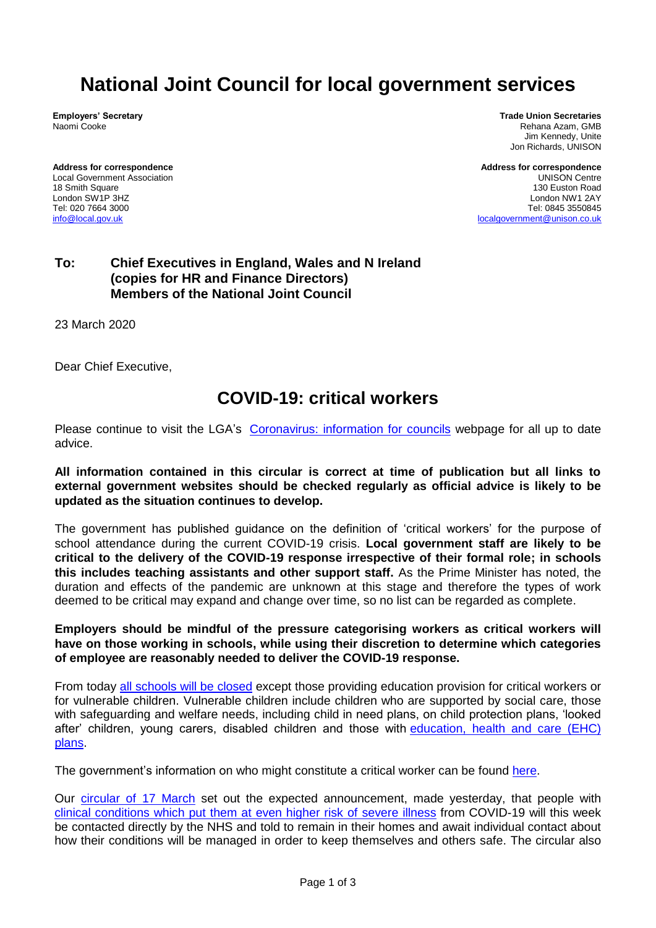## **National Joint Council for local government services**

**Employers' Secretary** Naomi Cooke

**Address for correspondence** Local Government Association 18 Smith Square London SW1P 3HZ Tel: 020 7664 3000 [info@local.gov.uk](mailto:info@local.gov.uk)

**Trade Union Secretaries** Rehana Azam, GMB Jim Kennedy, Unite Jon Richards, UNISON

**Address for correspondence** UNISON Centre 130 Euston Road London NW1 2AY Tel: 0845 3550845 [localgovernment@unison.co.uk](mailto:localgovernment@unison.co.uk)

## **To: Chief Executives in England, Wales and N Ireland (copies for HR and Finance Directors) Members of the National Joint Council**

23 March 2020

Dear Chief Executive,

## **COVID-19: critical workers**

Please continue to visit the LGA's [Coronavirus: information for councils](https://www.local.gov.uk/coronavirus-information-councils) webpage for all up to date advice.

**All information contained in this circular is correct at time of publication but all links to external government websites should be checked regularly as official advice is likely to be updated as the situation continues to develop.**

The government has published guidance on the definition of 'critical workers' for the purpose of school attendance during the current COVID-19 crisis. **Local government staff are likely to be critical to the delivery of the COVID-19 response irrespective of their formal role; in schools this includes teaching assistants and other support staff.** As the Prime Minister has noted, the duration and effects of the pandemic are unknown at this stage and therefore the types of work deemed to be critical may expand and change over time, so no list can be regarded as complete.

**Employers should be mindful of the pressure categorising workers as critical workers will have on those working in schools, while using their discretion to determine which categories of employee are reasonably needed to deliver the COVID-19 response.**

From today [all schools will be closed](https://www.gov.uk/government/publications/covid-19-school-closures) except those providing education provision for critical workers or for vulnerable children. Vulnerable children include children who are supported by social care, those with safeguarding and welfare needs, including child in need plans, on child protection plans, 'looked after' children, young carers, disabled children and those with education, health and care (EHC) [plans.](https://www.gov.uk/children-with-special-educational-needs/extra-SEN-help)

The government's information on who might constitute a critical worker can be found [here.](https://www.gov.uk/government/publications/coronavirus-covid-19-maintaining-educational-provision/guidance-for-schools-colleges-and-local-authorities-on-maintaining-educational-provision)

Our [circular of 17 March](https://www.local.gov.uk/our-support/workforce-and-hr-support/local-government-services) set out the expected announcement, made yesterday, that people with clinical conditions which put them [at even higher risk of severe illness](https://www.gov.uk/government/publications/guidance-on-shielding-and-protecting-extremely-vulnerable-persons-from-covid-19/guidance-on-shielding-and-protecting-extremely-vulnerable-persons-from-covid-19) from COVID-19 will this week be contacted directly by the NHS and told to remain in their homes and await individual contact about how their conditions will be managed in order to keep themselves and others safe. The circular also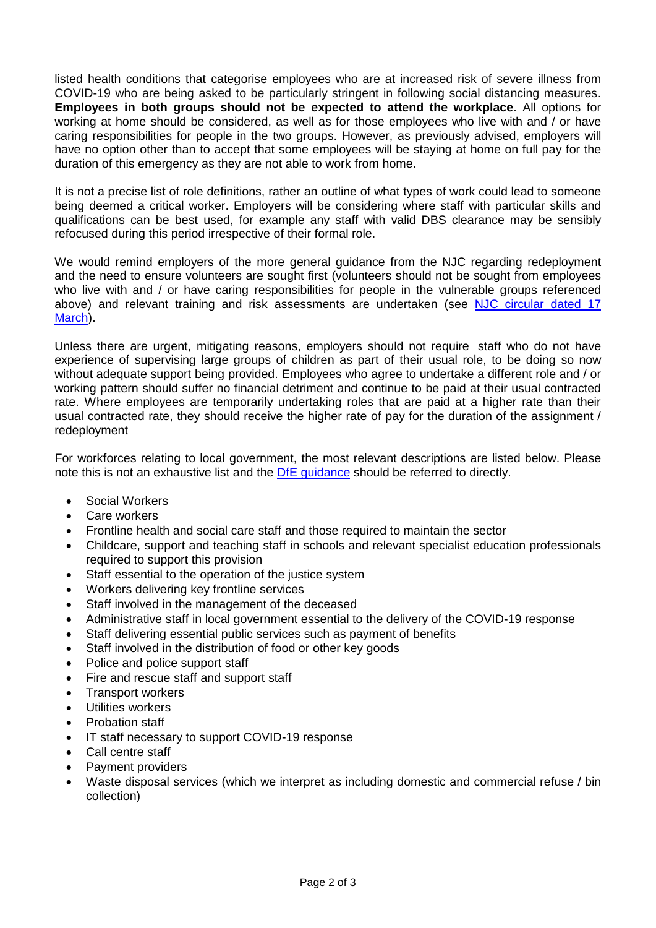listed health conditions that categorise employees who are at increased risk of severe illness from COVID-19 who are being asked to be particularly stringent in following social distancing measures. **Employees in both groups should not be expected to attend the workplace**. All options for working at home should be considered, as well as for those employees who live with and / or have caring responsibilities for people in the two groups. However, as previously advised, employers will have no option other than to accept that some employees will be staying at home on full pay for the duration of this emergency as they are not able to work from home.

It is not a precise list of role definitions, rather an outline of what types of work could lead to someone being deemed a critical worker. Employers will be considering where staff with particular skills and qualifications can be best used, for example any staff with valid DBS clearance may be sensibly refocused during this period irrespective of their formal role.

We would remind employers of the more general guidance from the NJC regarding redeployment and the need to ensure volunteers are sought first (volunteers should not be sought from employees who live with and / or have caring responsibilities for people in the vulnerable groups referenced above) and relevant training and risk assessments are undertaken (see NJC circular dated 17 [March\)](https://www.local.gov.uk/our-support/workforce-and-hr-support/local-government-services).

Unless there are urgent, mitigating reasons, employers should not require staff who do not have experience of supervising large groups of children as part of their usual role, to be doing so now without adequate support being provided. Employees who agree to undertake a different role and / or working pattern should suffer no financial detriment and continue to be paid at their usual contracted rate. Where employees are temporarily undertaking roles that are paid at a higher rate than their usual contracted rate, they should receive the higher rate of pay for the duration of the assignment / redeployment

For workforces relating to local government, the most relevant descriptions are listed below. Please note this is not an exhaustive list and the [DfE guidance](https://www.gov.uk/government/publications/coronavirus-covid-19-maintaining-educational-provision/guidance-for-schools-colleges-and-local-authorities-on-maintaining-educational-provision) should be referred to directly.

- Social Workers
- Care workers
- Frontline health and social care staff and those required to maintain the sector
- Childcare, support and teaching staff in schools and relevant specialist education professionals required to support this provision
- Staff essential to the operation of the justice system
- Workers delivering key frontline services
- Staff involved in the management of the deceased
- Administrative staff in local government essential to the delivery of the COVID-19 response
- Staff delivering essential public services such as payment of benefits
- Staff involved in the distribution of food or other key goods
- Police and police support staff
- Fire and rescue staff and support staff
- Transport workers
- Utilities workers
- Probation staff
- IT staff necessary to support COVID-19 response
- Call centre staff
- Payment providers
- Waste disposal services (which we interpret as including domestic and commercial refuse / bin collection)